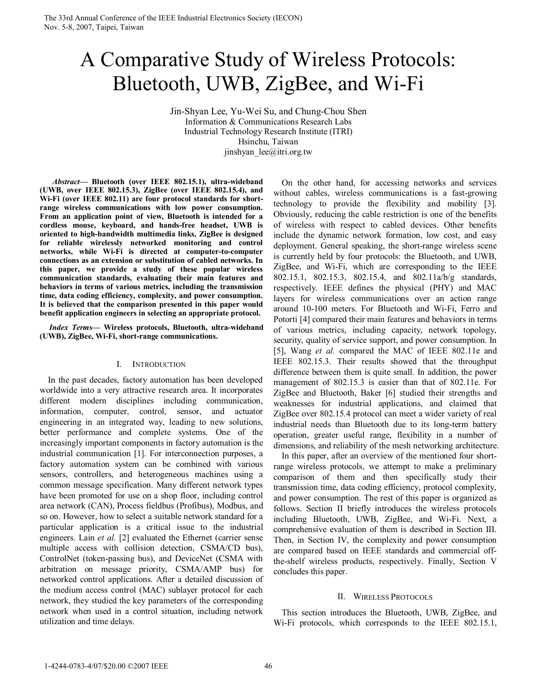# A Comparative Study of Wireless Protocols: Bluetooth, UWB, ZigBee, and Wi-Fi

Jin-Shyan Lee, Yu-Wei Su, and Chung-Chou Shen Information & Communications Research Labs Industrial Technology Research Institute (ITRI) Hsinchu, Taiwan jinshyan  $\text{lee}(\omega)$ itri.org.tw

*Abstract—* **Bluetooth (over IEEE 802.15.1), ultra-wideband (UWB, over IEEE 802.15.3), ZigBee (over IEEE 802.15.4), and Wi-Fi (over IEEE 802.11) are four protocol standards for shortrange wireless communications with low power consumption. From an application point of view, Bluetooth is intended for a cordless mouse, keyboard, and hands-free headset, UWB is oriented to high-bandwidth multimedia links, ZigBee is designed for reliable wirelessly networked monitoring and control networks, while Wi-Fi is directed at computer-to-computer connections as an extension or substitution of cabled networks. In this paper, we provide a study of these popular wireless communication standards, evaluating their main features and behaviors in terms of various metrics, including the transmission time, data coding efficiency, complexity, and power consumption. It is believed that the comparison presented in this paper would benefit application engineers in selecting an appropriate protocol.**

*Index Terms***— Wireless protocols, Bluetooth, ultra-wideband (UWB), ZigBee, Wi-Fi, short-range communications.** 

### I. INTRODUCTION

In the past decades, factory automation has been developed worldwide into a very attractive research area. It incorporates different modern disciplines including communication, information, computer, control, sensor, and actuator engineering in an integrated way, leading to new solutions, better performance and complete systems. One of the increasingly important components in factory automation is the industrial communication [1]. For interconnection purposes, a factory automation system can be combined with various sensors, controllers, and heterogeneous machines using a common message specification. Many different network types have been promoted for use on a shop floor, including control area network (CAN), Process fieldbus (Profibus), Modbus, and so on. However, how to select a suitable network standard for a particular application is a critical issue to the industrial engineers. Lain *et al.* [2] evaluated the Ethernet (carrier sense multiple access with collision detection, CSMA/CD bus), ControlNet (token-passing bus), and DeviceNet (CSMA with arbitration on message priority, CSMA/AMP bus) for networked control applications. After a detailed discussion of the medium access control (MAC) sublayer protocol for each network, they studied the key parameters of the corresponding network when used in a control situation, including network utilization and time delays.

On the other hand, for accessing networks and services without cables, wireless communications is a fast-growing technology to provide the flexibility and mobility [3]. Obviously, reducing the cable restriction is one of the benefits of wireless with respect to cabled devices. Other benefits include the dynamic network formation, low cost, and easy deployment. General speaking, the short-range wireless scene is currently held by four protocols: the Bluetooth, and UWB, ZigBee, and Wi-Fi, which are corresponding to the IEEE 802.15.1, 802.15.3, 802.15.4, and 802.11a/b/g standards, respectively. IEEE defines the physical (PHY) and MAC layers for wireless communications over an action range around 10-100 meters. For Bluetooth and Wi-Fi, Ferro and Potorti [4] compared their main features and behaviors in terms of various metrics, including capacity, network topology, security, quality of service support, and power consumption. In [5], Wang *et al.* compared the MAC of IEEE 802.11e and IEEE 802.15.3. Their results showed that the throughput difference between them is quite small. In addition, the power management of 802.15.3 is easier than that of 802.11e. For ZigBee and Bluetooth, Baker [6] studied their strengths and weaknesses for industrial applications, and claimed that ZigBee over 802.15.4 protocol can meet a wider variety of real industrial needs than Bluetooth due to its long-term battery operation, greater useful range, flexibility in a number of dimensions, and reliability of the mesh networking architecture.

In this paper, after an overview of the mentioned four shortrange wireless protocols, we attempt to make a preliminary comparison of them and then specifically study their transmission time, data coding efficiency, protocol complexity, and power consumption. The rest of this paper is organized as follows. Section II briefly introduces the wireless protocols including Bluetooth, UWB, ZigBee, and Wi-Fi. Next, a comprehensive evaluation of them is described in Section III. Then, in Section IV, the complexity and power consumption are compared based on IEEE standards and commercial offthe-shelf wireless products, respectively. Finally, Section V concludes this paper.

#### II. WIRELESS PROTOCOLS

This section introduces the Bluetooth, UWB, ZigBee, and Wi-Fi protocols, which corresponds to the IEEE 802.15.1,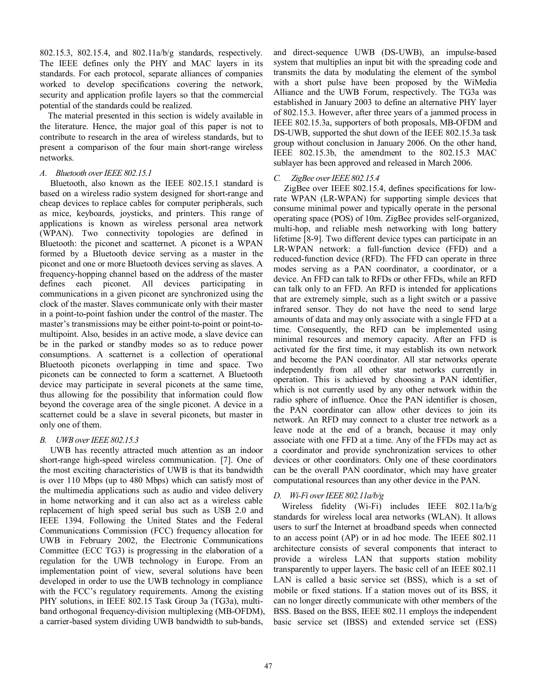802.15.3, 802.15.4, and 802.11a/b/g standards, respectively. The IEEE defines only the PHY and MAC layers in its standards. For each protocol, separate alliances of companies worked to develop specifications covering the network, security and application profile layers so that the commercial potential of the standards could be realized.

The material presented in this section is widely available in the literature. Hence, the major goal of this paper is not to contribute to research in the area of wireless standards, but to present a comparison of the four main short-range wireless networks.

## *A. Bluetooth over IEEE 802.15.1*

Bluetooth, also known as the IEEE 802.15.1 standard is based on a wireless radio system designed for short-range and cheap devices to replace cables for computer peripherals, such as mice, keyboards, joysticks, and printers. This range of applications is known as wireless personal area network (WPAN). Two connectivity topologies are defined in Bluetooth: the piconet and scatternet. A piconet is a WPAN formed by a Bluetooth device serving as a master in the piconet and one or more Bluetooth devices serving as slaves. A frequency-hopping channel based on the address of the master defines each piconet. All devices participating in communications in a given piconet are synchronized using the clock of the master. Slaves communicate only with their master in a point-to-point fashion under the control of the master. The master's transmissions may be either point-to-point or point-tomultipoint. Also, besides in an active mode, a slave device can be in the parked or standby modes so as to reduce power consumptions. A scatternet is a collection of operational Bluetooth piconets overlapping in time and space. Two piconets can be connected to form a scatternet. A Bluetooth device may participate in several piconets at the same time, thus allowing for the possibility that information could flow beyond the coverage area of the single piconet. A device in a scatternet could be a slave in several piconets, but master in only one of them.

# *B. UWB over IEEE 802.15.3*

UWB has recently attracted much attention as an indoor short-range high-speed wireless communication. [7]. One of the most exciting characteristics of UWB is that its bandwidth is over 110 Mbps (up to 480 Mbps) which can satisfy most of the multimedia applications such as audio and video delivery in home networking and it can also act as a wireless cable replacement of high speed serial bus such as USB 2.0 and IEEE 1394. Following the United States and the Federal Communications Commission (FCC) frequency allocation for UWB in February 2002, the Electronic Communications Committee (ECC TG3) is progressing in the elaboration of a regulation for the UWB technology in Europe. From an implementation point of view, several solutions have been developed in order to use the UWB technology in compliance with the FCC's regulatory requirements. Among the existing PHY solutions, in IEEE 802.15 Task Group 3a (TG3a), multiband orthogonal frequency-division multiplexing (MB-OFDM), a carrier-based system dividing UWB bandwidth to sub-bands,

and direct-sequence UWB (DS-UWB), an impulse-based system that multiplies an input bit with the spreading code and transmits the data by modulating the element of the symbol with a short pulse have been proposed by the WiMedia Alliance and the UWB Forum, respectively. The TG3a was established in January 2003 to define an alternative PHY layer of 802.15.3. However, after three years of a jammed process in IEEE 802.15.3a, supporters of both proposals, MB-OFDM and DS-UWB, supported the shut down of the IEEE 802.15.3a task group without conclusion in January 2006. On the other hand, IEEE 802.15.3b, the amendment to the 802.15.3 MAC sublayer has been approved and released in March 2006.

## *C. ZigBee over IEEE 802.15.4*

ZigBee over IEEE 802.15.4, defines specifications for lowrate WPAN (LR-WPAN) for supporting simple devices that consume minimal power and typically operate in the personal operating space (POS) of 10m. ZigBee provides self-organized, multi-hop, and reliable mesh networking with long battery lifetime [8-9]. Two different device types can participate in an LR-WPAN network: a full-function device (FFD) and a reduced-function device (RFD). The FFD can operate in three modes serving as a PAN coordinator, a coordinator, or a device. An FFD can talk to RFDs or other FFDs, while an RFD can talk only to an FFD. An RFD is intended for applications that are extremely simple, such as a light switch or a passive infrared sensor. They do not have the need to send large amounts of data and may only associate with a single FFD at a time. Consequently, the RFD can be implemented using minimal resources and memory capacity. After an FFD is activated for the first time, it may establish its own network and become the PAN coordinator. All star networks operate independently from all other star networks currently in operation. This is achieved by choosing a PAN identifier, which is not currently used by any other network within the radio sphere of influence. Once the PAN identifier is chosen, the PAN coordinator can allow other devices to join its network. An RFD may connect to a cluster tree network as a leave node at the end of a branch, because it may only associate with one FFD at a time. Any of the FFDs may act as a coordinator and provide synchronization services to other devices or other coordinators. Only one of these coordinators can be the overall PAN coordinator, which may have greater computational resources than any other device in the PAN.

# *D. Wi-Fi over IEEE 802.11a/b/g*

Wireless fidelity (Wi-Fi) includes IEEE 802.11a/b/g standards for wireless local area networks (WLAN). It allows users to surf the Internet at broadband speeds when connected to an access point (AP) or in ad hoc mode. The IEEE 802.11 architecture consists of several components that interact to provide a wireless LAN that supports station mobility transparently to upper layers. The basic cell of an IEEE 802.11 LAN is called a basic service set (BSS), which is a set of mobile or fixed stations. If a station moves out of its BSS, it can no longer directly communicate with other members of the BSS. Based on the BSS, IEEE 802.11 employs the independent basic service set (IBSS) and extended service set (ESS)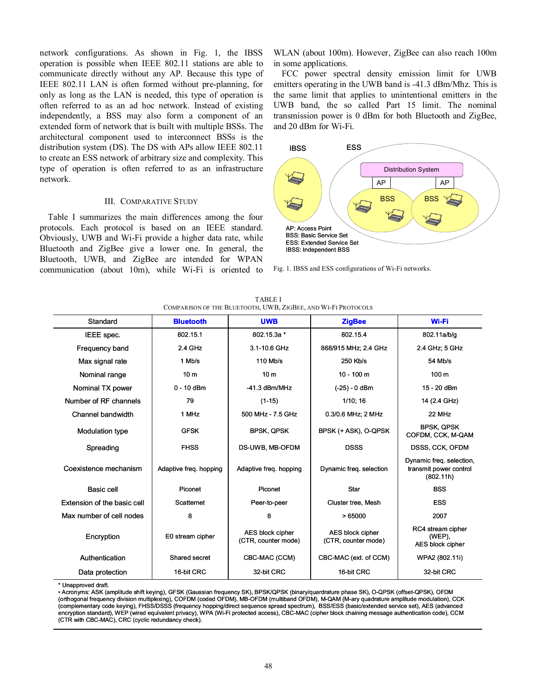network configurations. As shown in Fig. 1, the IBSS operation is possible when IEEE 802.11 stations are able to communicate directly without any AP. Because this type of IEEE 802.11 LAN is often formed without pre-planning, for only as long as the LAN is needed, this type of operation is often referred to as an ad hoc network. Instead of existing independently, a BSS may also form a component of an extended form of network that is built with multiple BSSs. The architectural component used to interconnect BSSs is the distribution system (DS). The DS with APs allow IEEE 802.11 to create an ESS network of arbitrary size and complexity. This type of operation is often referred to as an infrastructure network.

## III. COMPARATIVE STUDY

Table I summarizes the main differences among the four protocols. Each protocol is based on an IEEE standard. Obviously, UWB and Wi-Fi provide a higher data rate, while Bluetooth and ZigBee give a lower one. In general, the Bluetooth, UWB, and ZigBee are intended for WPAN communication (about 10m), while Wi-Fi is oriented to

WLAN (about 100m). However, ZigBee can also reach 100m in some applications.

FCC power spectral density emission limit for UWB emitters operating in the UWB band is -41.3 dBm/Mhz. This is the same limit that applies to unintentional emitters in the UWB band, the so called Part 15 limit. The nominal transmission power is 0 dBm for both Bluetooth and ZigBee, and 20 dBm for Wi-Fi.



Fig. 1. IBSS and ESS configurations of Wi-Fi networks.

| Standard                    | <b>Bluetooth</b>       | <b>UWB</b>                              | <b>ZigBee</b>                           | Wi-Fi                                                           |
|-----------------------------|------------------------|-----------------------------------------|-----------------------------------------|-----------------------------------------------------------------|
| IEEE spec.                  | 802.15.1               | 802.15.3a *                             | 802.15.4                                | 802.11a/b/g                                                     |
| Frequency band              | 2.4 GHz                | 3.1-10.6 GHz                            | 868/915 MHz; 2.4 GHz                    | 2.4 GHz; 5 GHz                                                  |
| Max signal rate             | 1 Mb/s                 | 110 Mb/s                                | 250 Kb/s                                | 54 Mb/s                                                         |
| Nominal range               | 10 <sub>m</sub>        | 10 <sub>m</sub>                         | $10 - 100$ m                            | 100 <sub>m</sub>                                                |
| Nominal TX power            | $0 - 10$ dBm           | $-41.3$ dBm/MHz                         | (-25) - 0 dBm                           | 15 - 20 dBm                                                     |
| Number of RF channels       | 79                     | $(1-15)$                                | 1/10; 16                                | 14 (2.4 GHz)                                                    |
| Channel bandwidth           | 1 MHz                  | 500 MHz - 7.5 GHz                       | 0.3/0.6 MHz; 2 MHz                      | 22 MHz                                                          |
| Modulation type             | <b>GFSK</b>            | <b>BPSK, QPSK</b>                       | BPSK (+ ASK), O-QPSK                    | <b>BPSK, QPSK</b><br>COFDM, CCK, M-QAM                          |
| Spreading                   | <b>FHSS</b>            | DS-UWB, MB-OFDM                         | <b>DSSS</b>                             | DSSS, CCK, OFDM                                                 |
| Coexistence mechanism       | Adaptive freq. hopping | Adaptive freq. hopping                  | Dynamic freq. selection                 | Dynamic freq. selection,<br>transmit power control<br>(802.11h) |
| Basic cell                  | Piconet                | Piconet                                 | <b>Star</b>                             | <b>BSS</b>                                                      |
| Extension of the basic cell | Scatternet             | Peer-to-peer                            | Cluster tree, Mesh                      | <b>ESS</b>                                                      |
| Max number of cell nodes    | 8                      | 8                                       | >65000                                  | 2007                                                            |
| Encryption                  | E0 stream cipher       | AES block cipher<br>(CTR, counter mode) | AES block cipher<br>(CTR, counter mode) | RC4 stream cipher<br>(WEP),<br>AES block cipher                 |
| Authentication              | Shared secret          | CBC-MAC (CCM)                           | CBC-MAC (ext. of CCM)                   | WPA2 (802.11i)                                                  |
| Data protection             | 16-bit CRC             | 32-bit CRC                              | 16-bit CRC                              | 32-bit CRC                                                      |

TABLE I COMPARISON OF THE BLUETOOTH, UWB, ZIGBEE, AND WI-FI PROTOCOLS

\* Unapproved draft.

• Acronyms: ASK (amplitude shift keying), GFSK (Gaussian frequency SK), BPSK/QPSK (binary/quardrature phase SK), O-QPSK (offset-QPSK), OFDM (orthogonal frequency division multiplexing), COFDM (coded OFDM), MB-OFDM (multiband OFDM), M-QAM (M-ary quadrature amplitude modulation), CCK (complementary code keying), FHSS/DSSS (frequency hopping/direct sequence spread spectrum), BSS/ESS (basic/extended service set), AES (advanced encryption standard), WEP (wired equivalent privacy), WPA (Wi-Fi protected access), CBC-MAC (cipher block chaining message authentication code), CCM (CTR with CBC-MAC), CRC (cyclic redundancy check).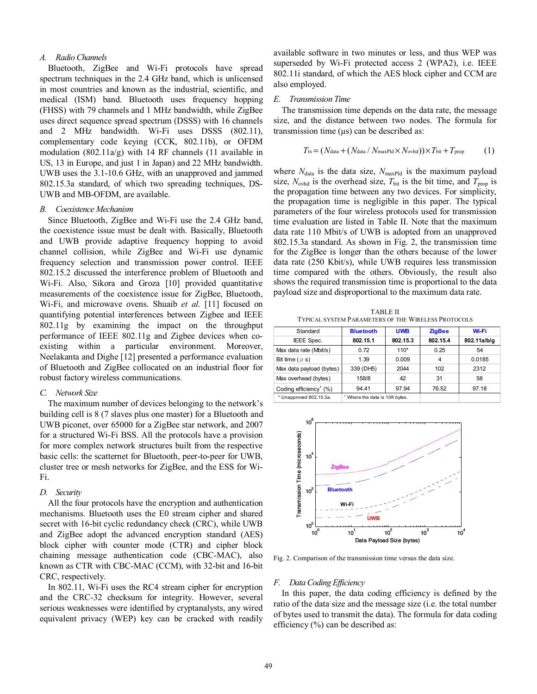## *A. Radio Channels*

Bluetooth, ZigBee and Wi-Fi protocols have spread spectrum techniques in the 2.4 GHz band, which is unlicensed in most countries and known as the industrial, scientific, and medical (ISM) band. Bluetooth uses frequency hopping (FHSS) with 79 channels and 1 MHz bandwidth, while ZigBee uses direct sequence spread spectrum (DSSS) with 16 channels and 2 MHz bandwidth. Wi-Fi uses DSSS (802.11), complementary code keying (CCK, 802.11b), or OFDM modulation (802.11a/g) with 14 RF channels (11 available in US, 13 in Europe, and just 1 in Japan) and 22 MHz bandwidth. UWB uses the 3.1-10.6 GHz, with an unapproved and jammed 802.15.3a standard, of which two spreading techniques, DS-UWB and MB-OFDM, are available.

#### *B. Coexistence Mechanism*

Since Bluetooth, ZigBee and Wi-Fi use the 2.4 GHz band, the coexistence issue must be dealt with. Basically, Bluetooth and UWB provide adaptive frequency hopping to avoid channel collision, while ZigBee and Wi-Fi use dynamic frequency selection and transmission power control. IEEE 802.15.2 discussed the interference problem of Bluetooth and Wi-Fi. Also, Sikora and Groza [10] provided quantitative measurements of the coexistence issue for ZigBee, Bluetooth, Wi-Fi, and microwave ovens. Shuaib *et al.* [11] focused on quantifying potential interferences between Zigbee and IEEE 802.11g by examining the impact on the throughput performance of IEEE 802.11g and Zigbee devices when coexisting within a particular environment. Moreover, Neelakanta and Dighe [12] presented a performance evaluation of Bluetooth and ZigBee collocated on an industrial floor for robust factory wireless communications.

#### *C. Network Size*

The maximum number of devices belonging to the network's building cell is 8 (7 slaves plus one master) for a Bluetooth and UWB piconet, over 65000 for a ZigBee star network, and 2007 for a structured Wi-Fi BSS. All the protocols have a provision for more complex network structures built from the respective basic cells: the scatternet for Bluetooth, peer-to-peer for UWB, cluster tree or mesh networks for ZigBee, and the ESS for Wi-Fi.

## *D. Security*

All the four protocols have the encryption and authentication mechanisms. Bluetooth uses the E0 stream cipher and shared secret with 16-bit cyclic redundancy check (CRC), while UWB and ZigBee adopt the advanced encryption standard (AES) block cipher with counter mode (CTR) and cipher block chaining message authentication code (CBC-MAC), also known as CTR with CBC-MAC (CCM), with 32-bit and 16-bit CRC, respectively.

In 802.11, Wi-Fi uses the RC4 stream cipher for encryption and the CRC-32 checksum for integrity. However, several serious weaknesses were identified by cryptanalysts, any wired equivalent privacy (WEP) key can be cracked with readily available software in two minutes or less, and thus WEP was superseded by Wi-Fi protected access 2 (WPA2), i.e. IEEE 802.11i standard, of which the AES block cipher and CCM are also employed.

## *E. Transmission Time*

The transmission time depends on the data rate, the message size, and the distance between two nodes. The formula for transmission time  $(\mu s)$  can be described as:

$$
T_{tx} = (N_{data} + (N_{data} / N_{maxPld} \times N_{ovhd})) \times T_{bit} + T_{prop}
$$
 (1)

where  $N_{data}$  is the data size,  $N_{maxPld}$  is the maximum payload size,  $N_{\text{ovhd}}$  is the overhead size,  $T_{\text{bit}}$  is the bit time, and  $T_{\text{prop}}$  is the propagation time between any two devices. For simplicity, the propagation time is negligible in this paper. The typical parameters of the four wireless protocols used for transmission time evaluation are listed in Table II. Note that the maximum data rate 110 Mbit/s of UWB is adopted from an unapproved 802.15.3a standard. As shown in Fig. 2, the transmission time for the ZigBee is longer than the others because of the lower data rate (250 Kbit/s), while UWB requires less transmission time compared with the others. Obviously, the result also shows the required transmission time is proportional to the data payload size and disproportional to the maximum data rate.

TABLE II TYPICAL SYSTEM PARAMETERS OF THE WIRELESS PROTOCOLS

| Standard                             | <b>Bluetooth</b>             | <b>UWB</b> | <b>ZigBee</b> | Wi-Fi       |
|--------------------------------------|------------------------------|------------|---------------|-------------|
| IEEE Spec.                           | 802.15.1                     | 802.15.3   | 802.15.4      | 802.11a/b/g |
| Max data rate (Mbit/s)               | 0.72                         | $110*$     | 0.25          | 54          |
| Bit time ( $\mu$ s)                  | 1.39                         | 0.009      | 4             | 0.0185      |
| Max data payload (bytes)             | 339 (DH5)                    | 2044       | 102           | 2312        |
| Max overhead (bytes)                 | 158/8                        | 42         | 31            | 58          |
| Coding efficiency <sup>+</sup> $(%)$ | 94.41                        | 97.94      | 76.52         | 97.18       |
| * Unapproved 802.15.3a.              | Where the data is 10K bytes. |            |               |             |



Fig. 2. Comparison of the transmission time versus the data size.

## *F. Data Coding Efficiency*

In this paper, the data coding efficiency is defined by the ratio of the data size and the message size (i.e. the total number of bytes used to transmit the data). The formula for data coding efficiency (%) can be described as: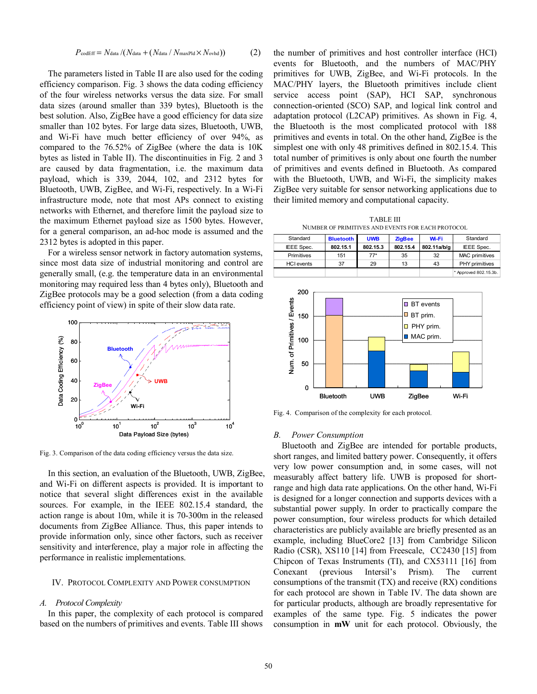$$
P_{\text{codEff}} = N_{\text{data}} / (N_{\text{data}} + (N_{\text{data}} / N_{\text{maxPld}} \times N_{\text{ovhd}}))
$$
 (2)

The parameters listed in Table II are also used for the coding efficiency comparison. Fig. 3 shows the data coding efficiency of the four wireless networks versus the data size. For small data sizes (around smaller than 339 bytes), Bluetooth is the best solution. Also, ZigBee have a good efficiency for data size smaller than 102 bytes. For large data sizes, Bluetooth, UWB, and Wi-Fi have much better efficiency of over 94%, as compared to the 76.52% of ZigBee (where the data is 10K bytes as listed in Table II). The discontinuities in Fig. 2 and 3 are caused by data fragmentation, i.e. the maximum data payload, which is 339, 2044, 102, and 2312 bytes for Bluetooth, UWB, ZigBee, and Wi-Fi, respectively. In a Wi-Fi infrastructure mode, note that most APs connect to existing networks with Ethernet, and therefore limit the payload size to the maximum Ethernet payload size as 1500 bytes. However, for a general comparison, an ad-hoc mode is assumed and the 2312 bytes is adopted in this paper.

For a wireless sensor network in factory automation systems, since most data size of industrial monitoring and control are generally small, (e.g. the temperature data in an environmental monitoring may required less than 4 bytes only), Bluetooth and ZigBee protocols may be a good selection (from a data coding efficiency point of view) in spite of their slow data rate.



Fig. 3. Comparison of the data coding efficiency versus the data size.

In this section, an evaluation of the Bluetooth, UWB, ZigBee, and Wi-Fi on different aspects is provided. It is important to notice that several slight differences exist in the available sources. For example, in the IEEE 802.15.4 standard, the action range is about 10m, while it is 70-300m in the released documents from ZigBee Alliance. Thus, this paper intends to provide information only, since other factors, such as receiver sensitivity and interference, play a major role in affecting the performance in realistic implementations.

## IV. PROTOCOL COMPLEXITY AND POWER CONSUMPTION

#### *A. Protocol Complexity*

In this paper, the complexity of each protocol is compared based on the numbers of primitives and events. Table III shows

the number of primitives and host controller interface (HCI) events for Bluetooth, and the numbers of MAC/PHY primitives for UWB, ZigBee, and Wi-Fi protocols. In the MAC/PHY layers, the Bluetooth primitives include client service access point (SAP), HCI SAP, synchronous connection-oriented (SCO) SAP, and logical link control and adaptation protocol (L2CAP) primitives. As shown in Fig. 4, the Bluetooth is the most complicated protocol with 188 primitives and events in total. On the other hand, ZigBee is the simplest one with only 48 primitives defined in 802.15.4. This total number of primitives is only about one fourth the number of primitives and events defined in Bluetooth. As compared with the Bluetooth, UWB, and Wi-Fi, the simplicity makes ZigBee very suitable for sensor networking applications due to their limited memory and computational capacity.

TABLE III NUMBER OF PRIMITIVES AND EVENTS FOR EACH PROTOCOL



UWB ZigBee Wi-Fi

Fig. 4. Comparison of the complexity for each protocol.

#### *B. Power Consumption*

Bluetooth

0

Bluetooth and ZigBee are intended for portable products, short ranges, and limited battery power. Consequently, it offers very low power consumption and, in some cases, will not measurably affect battery life. UWB is proposed for shortrange and high data rate applications. On the other hand, Wi-Fi is designed for a longer connection and supports devices with a substantial power supply. In order to practically compare the power consumption, four wireless products for which detailed characteristics are publicly available are briefly presented as an example, including BlueCore2 [13] from Cambridge Silicon Radio (CSR), XS110 [14] from Freescale, CC2430 [15] from Chipcon of Texas Instruments (TI), and CX53111 [16] from Conexant (previous Intersil's Prism). The current consumptions of the transmit (TX) and receive (RX) conditions for each protocol are shown in Table IV. The data shown are for particular products, although are broadly representative for examples of the same type. Fig. 5 indicates the power consumption in **mW** unit for each protocol. Obviously, the